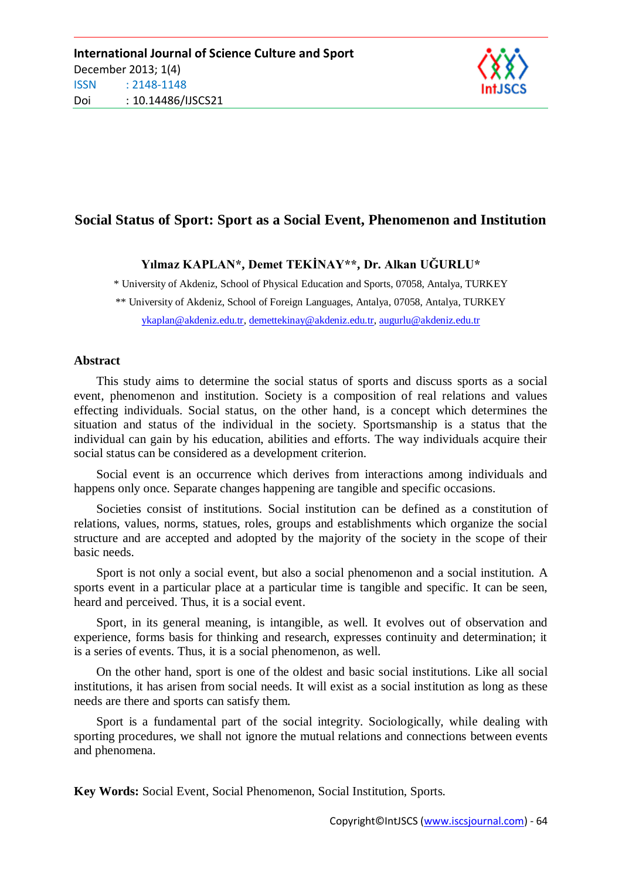

# **Social Status of Sport: Sport as a Social Event, Phenomenon and Institution**

# **Yılmaz KAPLAN\*, Demet TEKİNAY\*\*, Dr. Alkan UĞURLU\***

\* University of Akdeniz, School of Physical Education and Sports, 07058, Antalya, TURKEY

\*\* University of Akdeniz, School of Foreign Languages, Antalya, 07058, Antalya, TURKEY

[ykaplan@akdeniz.edu.tr,](mailto:ykaplan@akdeniz.edu.tr) [demettekinay@akdeniz.edu.tr,](mailto:demettekinay@akdeniz.edu.tr) [augurlu@akdeniz.edu.tr](mailto:augurlu@akdeniz.edu.tr)

#### **Abstract**

This study aims to determine the social status of sports and discuss sports as a social event, phenomenon and institution. Society is a composition of real relations and values effecting individuals. Social status, on the other hand, is a concept which determines the situation and status of the individual in the society. Sportsmanship is a status that the individual can gain by his education, abilities and efforts. The way individuals acquire their social status can be considered as a development criterion.

Social event is an occurrence which derives from interactions among individuals and happens only once. Separate changes happening are tangible and specific occasions.

Societies consist of institutions. Social institution can be defined as a constitution of relations, values, norms, statues, roles, groups and establishments which organize the social structure and are accepted and adopted by the majority of the society in the scope of their basic needs.

Sport is not only a social event, but also a social phenomenon and a social institution. A sports event in a particular place at a particular time is tangible and specific. It can be seen, heard and perceived. Thus, it is a social event.

Sport, in its general meaning, is intangible, as well. It evolves out of observation and experience, forms basis for thinking and research, expresses continuity and determination; it is a series of events. Thus, it is a social phenomenon, as well.

On the other hand, sport is one of the oldest and basic social institutions. Like all social institutions, it has arisen from social needs. It will exist as a social institution as long as these needs are there and sports can satisfy them.

Sport is a fundamental part of the social integrity. Sociologically, while dealing with sporting procedures, we shall not ignore the mutual relations and connections between events and phenomena.

**Key Words:** Social Event, Social Phenomenon, Social Institution, Sports.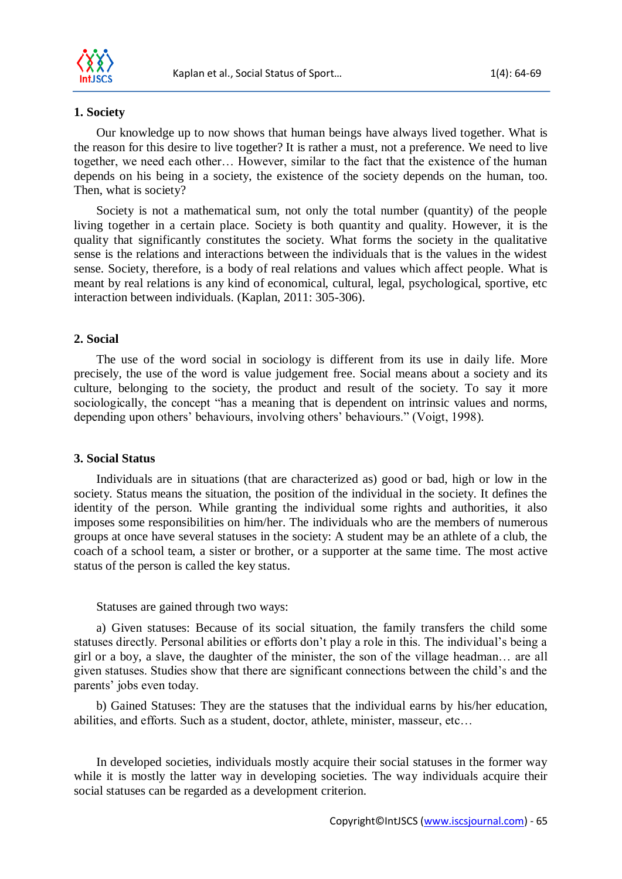

### **1. Society**

Our knowledge up to now shows that human beings have always lived together. What is the reason for this desire to live together? It is rather a must, not a preference. We need to live together, we need each other… However, similar to the fact that the existence of the human depends on his being in a society, the existence of the society depends on the human, too. Then, what is society?

Society is not a mathematical sum, not only the total number (quantity) of the people living together in a certain place. Society is both quantity and quality. However, it is the quality that significantly constitutes the society. What forms the society in the qualitative sense is the relations and interactions between the individuals that is the values in the widest sense. Society, therefore, is a body of real relations and values which affect people. What is meant by real relations is any kind of economical, cultural, legal, psychological, sportive, etc interaction between individuals. (Kaplan, 2011: 305-306).

## **2. Social**

The use of the word social in sociology is different from its use in daily life. More precisely, the use of the word is value judgement free. Social means about a society and its culture, belonging to the society, the product and result of the society. To say it more sociologically, the concept "has a meaning that is dependent on intrinsic values and norms, depending upon others' behaviours, involving others' behaviours." (Voigt, 1998).

#### **3. Social Status**

Individuals are in situations (that are characterized as) good or bad, high or low in the society. Status means the situation, the position of the individual in the society. It defines the identity of the person. While granting the individual some rights and authorities, it also imposes some responsibilities on him/her. The individuals who are the members of numerous groups at once have several statuses in the society: A student may be an athlete of a club, the coach of a school team, a sister or brother, or a supporter at the same time. The most active status of the person is called the key status.

#### Statuses are gained through two ways:

a) Given statuses: Because of its social situation, the family transfers the child some statuses directly. Personal abilities or efforts don't play a role in this. The individual's being a girl or a boy, a slave, the daughter of the minister, the son of the village headman… are all given statuses. Studies show that there are significant connections between the child's and the parents' jobs even today.

b) Gained Statuses: They are the statuses that the individual earns by his/her education, abilities, and efforts. Such as a student, doctor, athlete, minister, masseur, etc…

In developed societies, individuals mostly acquire their social statuses in the former way while it is mostly the latter way in developing societies. The way individuals acquire their social statuses can be regarded as a development criterion.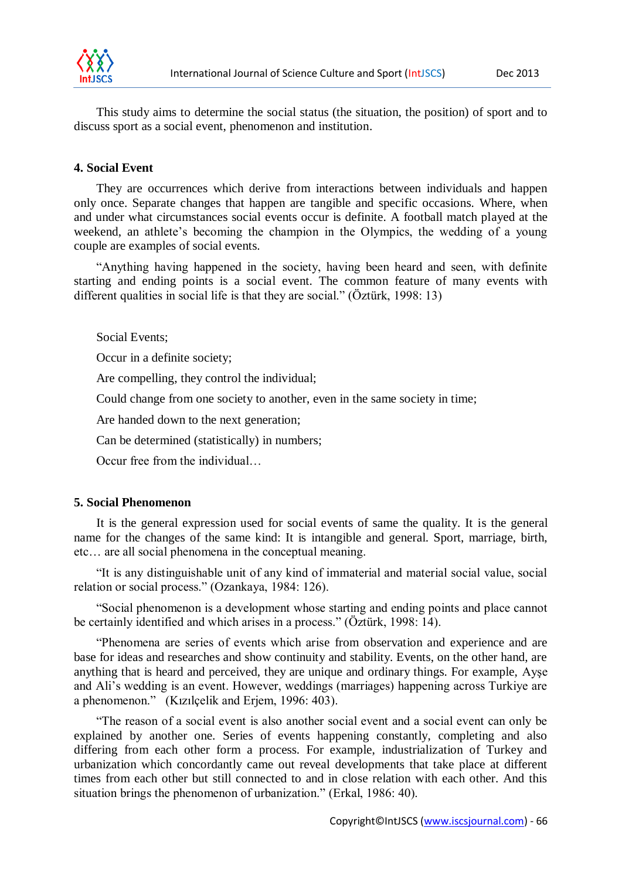

This study aims to determine the social status (the situation, the position) of sport and to discuss sport as a social event, phenomenon and institution.

### **4. Social Event**

They are occurrences which derive from interactions between individuals and happen only once. Separate changes that happen are tangible and specific occasions. Where, when and under what circumstances social events occur is definite. A football match played at the weekend, an athlete's becoming the champion in the Olympics, the wedding of a young couple are examples of social events.

"Anything having happened in the society, having been heard and seen, with definite starting and ending points is a social event. The common feature of many events with different qualities in social life is that they are social." (Öztürk, 1998: 13)

Social Events;

Occur in a definite society;

Are compelling, they control the individual;

Could change from one society to another, even in the same society in time;

Are handed down to the next generation;

Can be determined (statistically) in numbers;

Occur free from the individual

#### **5. Social Phenomenon**

It is the general expression used for social events of same the quality. It is the general name for the changes of the same kind: It is intangible and general. Sport, marriage, birth, etc… are all social phenomena in the conceptual meaning.

"It is any distinguishable unit of any kind of immaterial and material social value, social relation or social process." (Ozankaya, 1984: 126).

"Social phenomenon is a development whose starting and ending points and place cannot be certainly identified and which arises in a process." (Öztürk, 1998: 14).

"Phenomena are series of events which arise from observation and experience and are base for ideas and researches and show continuity and stability. Events, on the other hand, are anything that is heard and perceived, they are unique and ordinary things. For example, Ayşe and Ali's wedding is an event. However, weddings (marriages) happening across Turkiye are a phenomenon." (Kızılçelik and Erjem, 1996: 403).

"The reason of a social event is also another social event and a social event can only be explained by another one. Series of events happening constantly, completing and also differing from each other form a process. For example, industrialization of Turkey and urbanization which concordantly came out reveal developments that take place at different times from each other but still connected to and in close relation with each other. And this situation brings the phenomenon of urbanization." (Erkal, 1986: 40).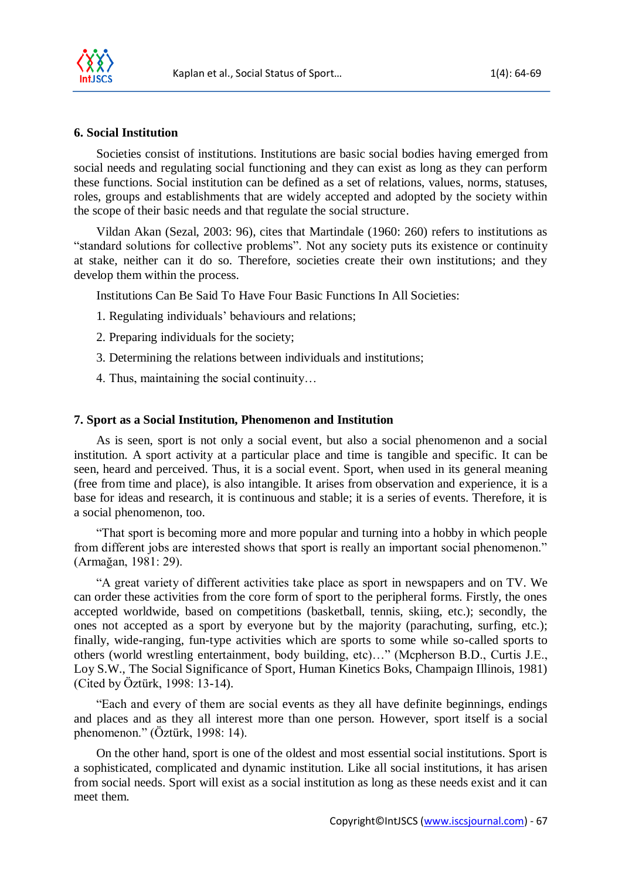

# **6. Social Institution**

Societies consist of institutions. Institutions are basic social bodies having emerged from social needs and regulating social functioning and they can exist as long as they can perform these functions. Social institution can be defined as a set of relations, values, norms, statuses, roles, groups and establishments that are widely accepted and adopted by the society within the scope of their basic needs and that regulate the social structure.

Vildan Akan (Sezal, 2003: 96), cites that Martindale (1960: 260) refers to institutions as "standard solutions for collective problems". Not any society puts its existence or continuity at stake, neither can it do so. Therefore, societies create their own institutions; and they develop them within the process.

Institutions Can Be Said To Have Four Basic Functions In All Societies:

- 1. Regulating individuals' behaviours and relations;
- 2. Preparing individuals for the society;
- 3. Determining the relations between individuals and institutions;
- 4. Thus, maintaining the social continuity…

#### **7. Sport as a Social Institution, Phenomenon and Institution**

As is seen, sport is not only a social event, but also a social phenomenon and a social institution. A sport activity at a particular place and time is tangible and specific. It can be seen, heard and perceived. Thus, it is a social event. Sport, when used in its general meaning (free from time and place), is also intangible. It arises from observation and experience, it is a base for ideas and research, it is continuous and stable; it is a series of events. Therefore, it is a social phenomenon, too.

"That sport is becoming more and more popular and turning into a hobby in which people from different jobs are interested shows that sport is really an important social phenomenon." (Armağan, 1981: 29).

"A great variety of different activities take place as sport in newspapers and on TV. We can order these activities from the core form of sport to the peripheral forms. Firstly, the ones accepted worldwide, based on competitions (basketball, tennis, skiing, etc.); secondly, the ones not accepted as a sport by everyone but by the majority (parachuting, surfing, etc.); finally, wide-ranging, fun-type activities which are sports to some while so-called sports to others (world wrestling entertainment, body building, etc)…" (Mcpherson B.D., Curtis J.E., Loy S.W., The Social Significance of Sport, Human Kinetics Boks, Champaign Illinois, 1981) (Cited by Öztürk, 1998: 13-14).

"Each and every of them are social events as they all have definite beginnings, endings and places and as they all interest more than one person. However, sport itself is a social phenomenon." (Öztürk, 1998: 14).

On the other hand, sport is one of the oldest and most essential social institutions. Sport is a sophisticated, complicated and dynamic institution. Like all social institutions, it has arisen from social needs. Sport will exist as a social institution as long as these needs exist and it can meet them.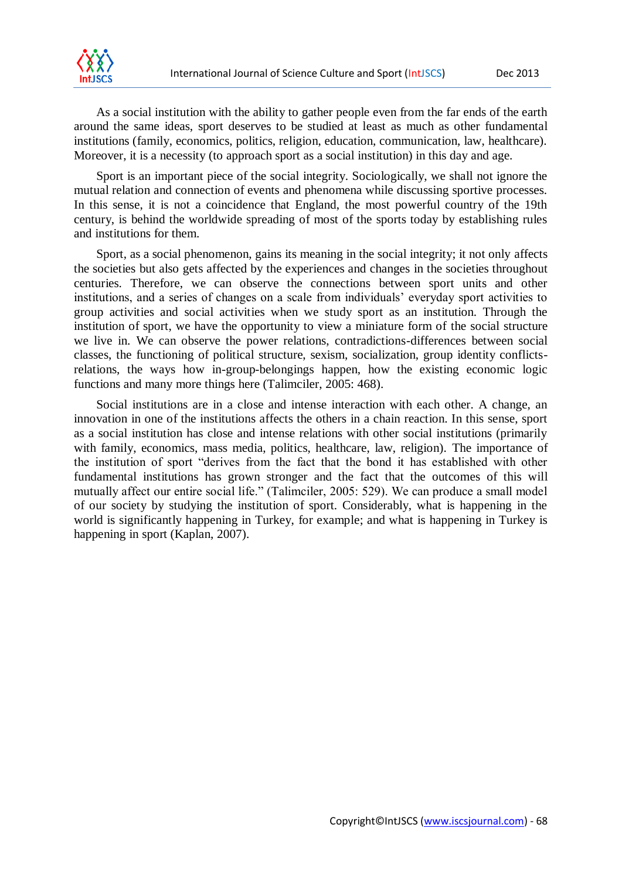As a social institution with the ability to gather people even from the far ends of the earth around the same ideas, sport deserves to be studied at least as much as other fundamental institutions (family, economics, politics, religion, education, communication, law, healthcare). Moreover, it is a necessity (to approach sport as a social institution) in this day and age.

Sport is an important piece of the social integrity. Sociologically, we shall not ignore the mutual relation and connection of events and phenomena while discussing sportive processes. In this sense, it is not a coincidence that England, the most powerful country of the 19th century, is behind the worldwide spreading of most of the sports today by establishing rules and institutions for them.

Sport, as a social phenomenon, gains its meaning in the social integrity; it not only affects the societies but also gets affected by the experiences and changes in the societies throughout centuries. Therefore, we can observe the connections between sport units and other institutions, and a series of changes on a scale from individuals' everyday sport activities to group activities and social activities when we study sport as an institution. Through the institution of sport, we have the opportunity to view a miniature form of the social structure we live in. We can observe the power relations, contradictions-differences between social classes, the functioning of political structure, sexism, socialization, group identity conflictsrelations, the ways how in-group-belongings happen, how the existing economic logic functions and many more things here (Talimciler, 2005: 468).

Social institutions are in a close and intense interaction with each other. A change, an innovation in one of the institutions affects the others in a chain reaction. In this sense, sport as a social institution has close and intense relations with other social institutions (primarily with family, economics, mass media, politics, healthcare, law, religion). The importance of the institution of sport "derives from the fact that the bond it has established with other fundamental institutions has grown stronger and the fact that the outcomes of this will mutually affect our entire social life." (Talimciler, 2005: 529). We can produce a small model of our society by studying the institution of sport. Considerably, what is happening in the world is significantly happening in Turkey, for example; and what is happening in Turkey is happening in sport (Kaplan, 2007).